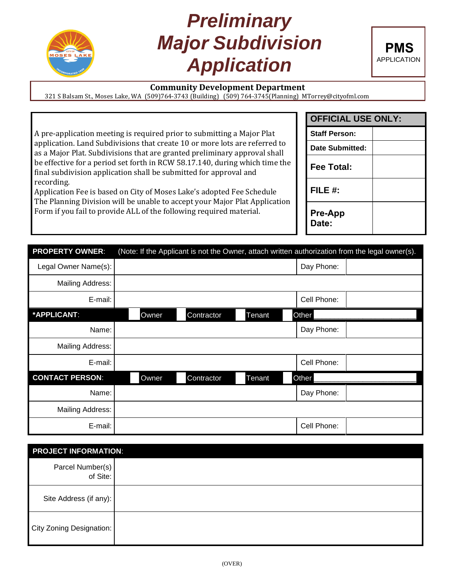

## *Preliminary Major Subdivision Application*



## **Community Development Department**

321 S Balsam St., Moses Lake, WA (509)764-3743 (Building) (509) 764-3745(Planning) MTorrey@cityofml.com

| A pre-application meeting is required prior to submitting a Major Plat<br>application. Land Subdivisions that create 10 or more lots are referred to |  |
|------------------------------------------------------------------------------------------------------------------------------------------------------|--|
|                                                                                                                                                      |  |
| as a Major Plat. Subdivisions that are granted preliminary approval shall                                                                            |  |
| be effective for a period set forth in RCW 58.17.140, during which time the                                                                          |  |
| final subdivision application shall be submitted for approval and                                                                                    |  |
| recording.                                                                                                                                           |  |
|                                                                                                                                                      |  |

Application Fee is based on City of Moses Lake's adopted Fee Schedule The Planning Division will be unable to accept your Major Plat Application Form if you fail to provide ALL of the following required material.

| <b>OFFICIAL USE ONLY:</b> |  |  |  |
|---------------------------|--|--|--|
| <b>Staff Person:</b>      |  |  |  |
| Date Submitted:           |  |  |  |
| Fee Total:                |  |  |  |
| FILE $#$ :                |  |  |  |
| <b>Pre-App</b><br>Date:   |  |  |  |

| <b>PROPERTY OWNER:</b>  | (Note: If the Applicant is not the Owner, attach written authorization from the legal owner(s). |             |  |  |  |
|-------------------------|-------------------------------------------------------------------------------------------------|-------------|--|--|--|
| Legal Owner Name(s):    | Day Phone:                                                                                      |             |  |  |  |
| <b>Mailing Address:</b> |                                                                                                 |             |  |  |  |
| E-mail:                 | Cell Phone:                                                                                     |             |  |  |  |
| *APPLICANT:             | Owner<br>Contractor<br>Tenant                                                                   | Other       |  |  |  |
| Name:                   |                                                                                                 | Day Phone:  |  |  |  |
| Mailing Address:        |                                                                                                 |             |  |  |  |
| E-mail:                 |                                                                                                 | Cell Phone: |  |  |  |
| <b>CONTACT PERSON:</b>  | Owner<br>Contractor<br>Tenant                                                                   | Other       |  |  |  |
| Name:                   |                                                                                                 | Day Phone:  |  |  |  |
| Mailing Address:        |                                                                                                 |             |  |  |  |
| E-mail:                 |                                                                                                 | Cell Phone: |  |  |  |

| <b>PROJECT INFORMATION:</b>  |  |
|------------------------------|--|
| Parcel Number(s)<br>of Site: |  |
| Site Address (if any):       |  |
| City Zoning Designation:     |  |